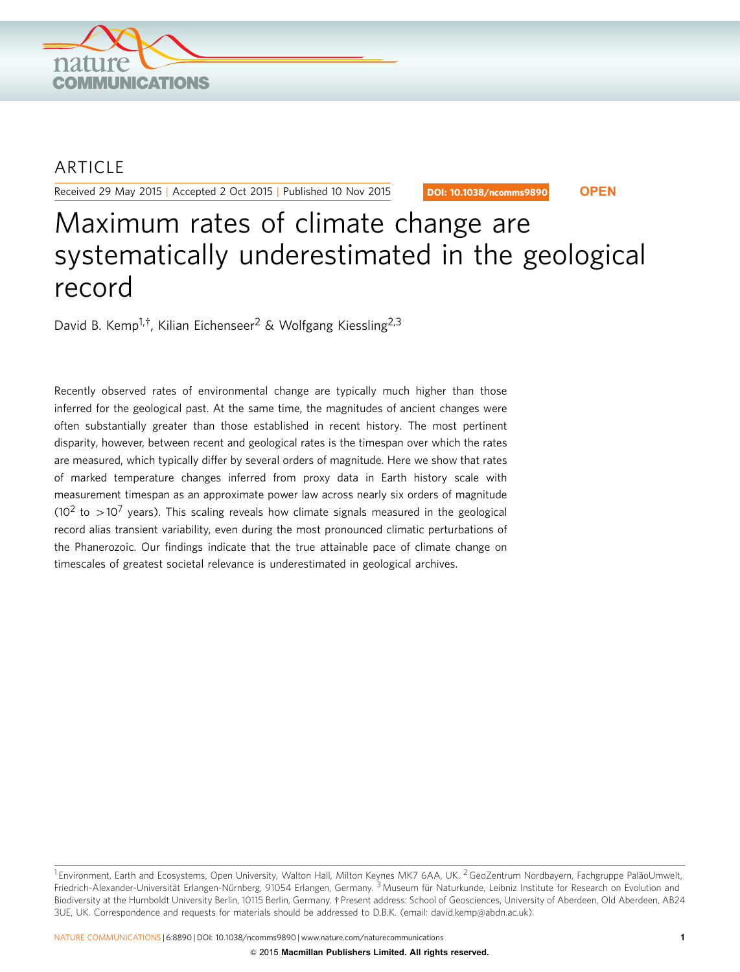

## ARTICLE

Received 29 May 2015 | Accepted 2 Oct 2015 | Published 10 Nov 2015

DOI: 10.1038/ncomms9890 **OPEN**

# Maximum rates of climate change are systematically underestimated in the geological record

David B. Kemp<sup>1,†</sup>, Kilian Eichenseer<sup>2</sup> & Wolfgang Kiessling<sup>2,3</sup>

Recently observed rates of environmental change are typically much higher than those inferred for the geological past. At the same time, the magnitudes of ancient changes were often substantially greater than those established in recent history. The most pertinent disparity, however, between recent and geological rates is the timespan over which the rates are measured, which typically differ by several orders of magnitude. Here we show that rates of marked temperature changes inferred from proxy data in Earth history scale with measurement timespan as an approximate power law across nearly six orders of magnitude (10<sup>2</sup> to  $>10^7$  years). This scaling reveals how climate signals measured in the geological record alias transient variability, even during the most pronounced climatic perturbations of the Phanerozoic. Our findings indicate that the true attainable pace of climate change on timescales of greatest societal relevance is underestimated in geological archives.

<sup>&</sup>lt;sup>1</sup> Environment, Earth and Ecosystems, Open University, Walton Hall, Milton Keynes MK7 6AA, UK. <sup>2</sup> GeoZentrum Nordbayern, Fachgruppe PaläoUmwelt, Friedrich-Alexander-Universität Erlangen-Nürnberg, 91054 Erlangen, Germany. <sup>3</sup> Museum für Naturkunde, Leibniz Institute for Research on Evolution and Biodiversity at the Humboldt University Berlin, 10115 Berlin, Germany. † Present address: School of Geosciences, University of Aberdeen, Old Aberdeen, AB24 3UE, UK. Correspondence and requests for materials should be addressed to D.B.K. (email: [david.kemp@abdn.ac.uk](mailto:david.kemp@abdn.ac.uk)).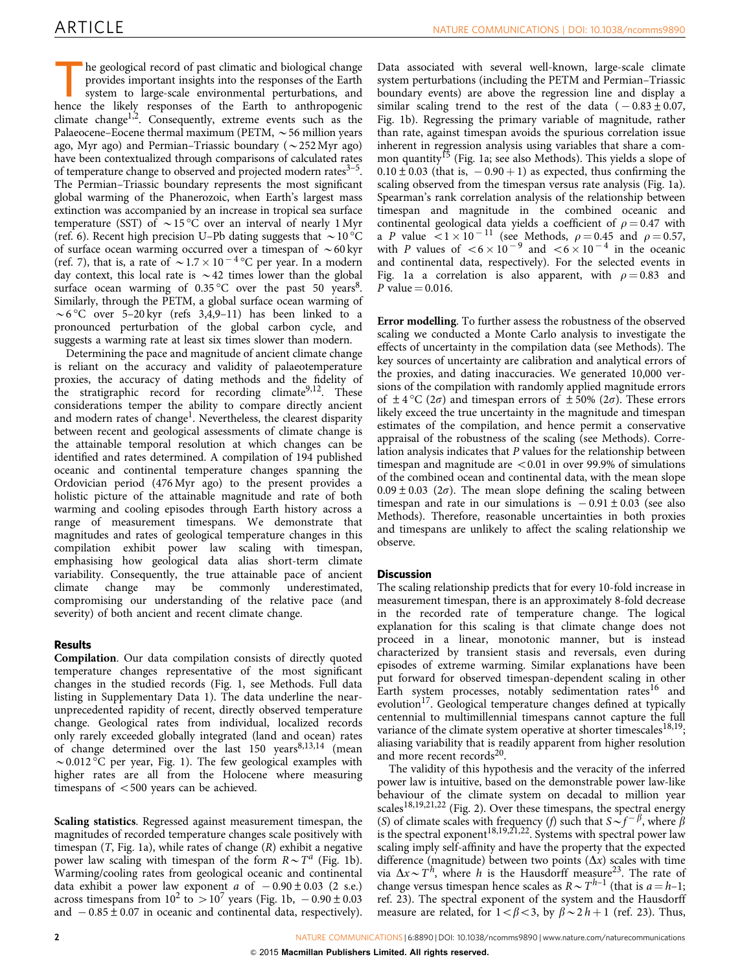he geological record of past climatic and biological change provides important insights into the responses of the Earth system to large-scale environmental perturbations, and hence the likely responses of the Earth to anthropogenic climate change<sup>1,2</sup>. Consequently, extreme events such as the Palaeocene–Eocene thermal maximum (PETM,  $\sim$  56 million years ago, Myr ago) and Permian–Triassic boundary ( $\sim$  252 Myr ago) have been contextualized through comparisons of calculated rates of temperature change to observed and projected modern rates $3-5$ . The Permian–Triassic boundary represents the most significant global warming of the Phanerozoic, when Earth's largest mass extinction was accompanied by an increase in tropical sea surface temperature (SST) of  $\sim$  15 °C over an interval of nearly 1 Myr ([ref. 6](#page-5-0)). Recent high precision U–Pb dating suggests that  $\sim$  10 °C of surface ocean warming occurred over a timespan of  $\sim 60$  kyr ([ref. 7\)](#page-5-0), that is, a rate of  $\sim 1.7 \times 10^{-4}$  °C per year. In a modern day context, this local rate is  $\sim$  42 times lower than the global surface ocean warming of  $0.35\,^{\circ}\text{C}$  over the past 50 years<sup>8</sup>. Similarly, through the PETM, a global surface ocean warming of  $\sim$  6 °C over 5–20 kyr [\(refs 3,4,9–11](#page-5-0)) has been linked to a pronounced perturbation of the global carbon cycle, and suggests a warming rate at least six times slower than modern.

Determining the pace and magnitude of ancient climate change is reliant on the accuracy and validity of palaeotemperature proxies, the accuracy of dating methods and the fidelity of the stratigraphic record for recording climate<sup>9,12</sup>. These considerations temper the ability to compare directly ancient and modern rates of change<sup>1</sup>. Nevertheless, the clearest disparity between recent and geological assessments of climate change is the attainable temporal resolution at which changes can be identified and rates determined. A compilation of 194 published oceanic and continental temperature changes spanning the Ordovician period (476 Myr ago) to the present provides a holistic picture of the attainable magnitude and rate of both warming and cooling episodes through Earth history across a range of measurement timespans. We demonstrate that magnitudes and rates of geological temperature changes in this compilation exhibit power law scaling with timespan, emphasising how geological data alias short-term climate variability. Consequently, the true attainable pace of ancient climate change may be commonly underestimated, compromising our understanding of the relative pace (and severity) of both ancient and recent climate change.

### Results

Compilation. Our data compilation consists of directly quoted temperature changes representative of the most significant changes in the studied records ([Fig. 1](#page-2-0), see Methods. Full data listing in Supplementary Data 1). The data underline the nearunprecedented rapidity of recent, directly observed temperature change. Geological rates from individual, localized records only rarely exceeded globally integrated (land and ocean) rates of change determined over the last  $150$  years<sup>[8,13,14](#page-5-0)</sup> (mean  $\sim$  0.012 °C per year, [Fig. 1](#page-2-0)). The few geological examples with higher rates are all from the Holocene where measuring timespans of  $<$  500 years can be achieved.

Scaling statistics. Regressed against measurement timespan, the magnitudes of recorded temperature changes scale positively with timespan  $(T, Fig. 1a)$  $(T, Fig. 1a)$ , while rates of change  $(R)$  exhibit a negative power law scaling with timespan of the form  $R \sim T^a$  [\(Fig. 1b](#page-2-0)). Warming/cooling rates from geological oceanic and continental data exhibit a power law exponent a of  $-0.90 \pm 0.03$  (2 s.e.) across timespans from  $10^2$  to  $> 10^7$  years [\(Fig. 1b](#page-2-0),  $-0.90 \pm 0.03$ and  $-0.85 \pm 0.07$  in oceanic and continental data, respectively).

Data associated with several well-known, large-scale climate system perturbations (including the PETM and Permian–Triassic boundary events) are above the regression line and display a similar scaling trend to the rest of the data  $(-0.83 \pm 0.07,$ [Fig. 1b\)](#page-2-0). Regressing the primary variable of magnitude, rather than rate, against timespan avoids the spurious correlation issue inherent in regression analysis using variables that share a com-mon quantity<sup>[15](#page-5-0)</sup> ([Fig. 1a;](#page-2-0) see also Methods). This yields a slope of  $0.10 \pm 0.03$  (that is,  $-0.90 + 1$ ) as expected, thus confirming the scaling observed from the timespan versus rate analysis [\(Fig. 1a](#page-2-0)). Spearman's rank correlation analysis of the relationship between timespan and magnitude in the combined oceanic and continental geological data yields a coefficient of  $\rho = 0.47$  with a P value  $\lt 1 \times 10^{-11}$  (see Methods,  $\rho = 0.45$  and  $\rho = 0.57$ , with P values of  $\lt 6 \times 10^{-9}$  and  $\lt 6 \times 10^{-4}$  in the oceanic and continental data, respectively). For the selected events in [Fig. 1a](#page-2-0) a correlation is also apparent, with  $\rho = 0.83$  and P value  $= 0.016$ .

Error modelling. To further assess the robustness of the observed scaling we conducted a Monte Carlo analysis to investigate the effects of uncertainty in the compilation data (see Methods). The key sources of uncertainty are calibration and analytical errors of the proxies, and dating inaccuracies. We generated 10,000 versions of the compilation with randomly applied magnitude errors of  $\pm 4$  °C (2 $\sigma$ ) and timespan errors of  $\pm 50$ % (2 $\sigma$ ). These errors likely exceed the true uncertainty in the magnitude and timespan estimates of the compilation, and hence permit a conservative appraisal of the robustness of the scaling (see Methods). Correlation analysis indicates that P values for the relationship between timespan and magnitude are  $< 0.01$  in over 99.9% of simulations of the combined ocean and continental data, with the mean slope  $0.09 \pm 0.03$  (2 $\sigma$ ). The mean slope defining the scaling between timespan and rate in our simulations is  $-0.91 \pm 0.03$  (see also Methods). Therefore, reasonable uncertainties in both proxies and timespans are unlikely to affect the scaling relationship we observe.

### **Discussion**

The scaling relationship predicts that for every 10-fold increase in measurement timespan, there is an approximately 8-fold decrease in the recorded rate of temperature change. The logical explanation for this scaling is that climate change does not proceed in a linear, monotonic manner, but is instead characterized by transient stasis and reversals, even during episodes of extreme warming. Similar explanations have been put forward for observed timespan-dependent scaling in other Earth system processes, notably sedimentation rates<sup>[16](#page-5-0)</sup> and evolution<sup>[17](#page-5-0)</sup>. Geological temperature changes defined at typically centennial to multimillennial timespans cannot capture the full variance of the climate system operative at shorter timescales $^{18,19}$ ; aliasing variability that is readily apparent from higher resolution and more recent records $^{20}$  $^{20}$  $^{20}$ .

The validity of this hypothesis and the veracity of the inferred power law is intuitive, based on the demonstrable power law-like behaviour of the climate system on decadal to million year scales<sup>[18,19,21,22](#page-5-0)</sup> ([Fig. 2\)](#page-3-0). Over these timespans, the spectral energy (S) of climate scales with frequency (f) such that  $S \sim f^{-\beta}$ , where  $\beta$ is the spectral exponent<sup>[18,19,21,22](#page-5-0)</sup>. Systems with spectral power law scaling imply self-affinity and have the property that the expected difference (magnitude) between two points  $(\Delta x)$  scales with time via  $\Delta x \sim T^h$ , where h is the Hausdorff measure<sup>[23](#page-5-0)</sup>. The rate of change versus timespan hence scales as  $R \sim T^{h-1}$  (that is  $a = h-1$ ; [ref. 23](#page-5-0)). The spectral exponent of the system and the Hausdorff measure are related, for  $1 < \beta < 3$ , by  $\beta \sim 2 h + 1$  ([ref. 23\)](#page-5-0). Thus,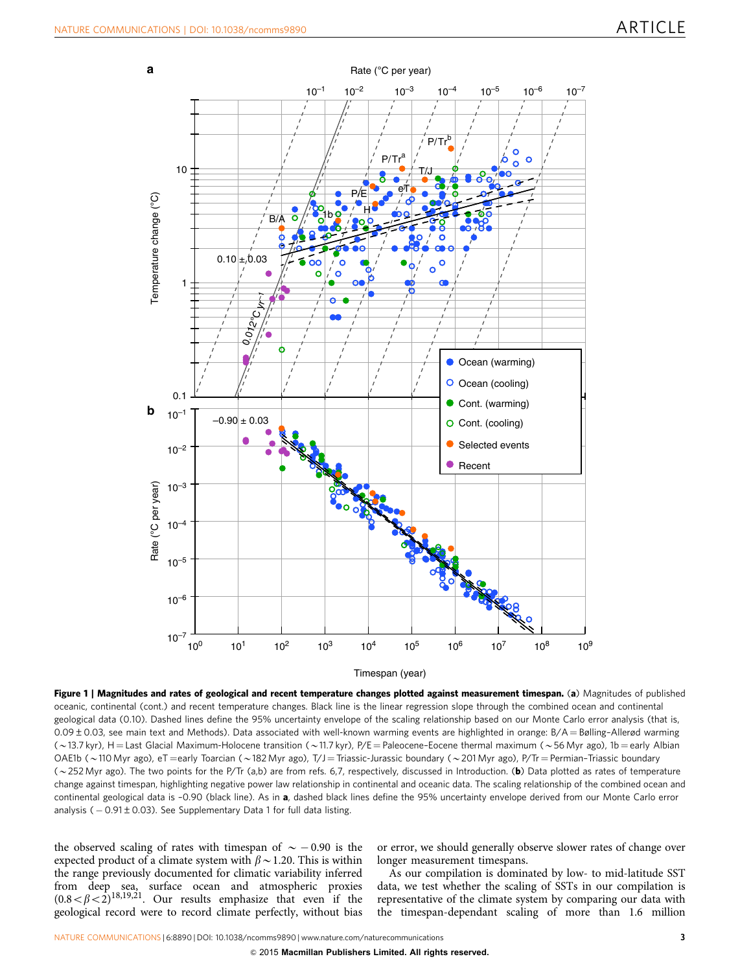<span id="page-2-0"></span>

Timespan (year)

Figure 1 | Magnitudes and rates of geological and recent temperature changes plotted against measurement timespan. (a) Magnitudes of published oceanic, continental (cont.) and recent temperature changes. Black line is the linear regression slope through the combined ocean and continental geological data (0.10). Dashed lines define the 95% uncertainty envelope of the scaling relationship based on our Monte Carlo error analysis (that is,  $0.09 \pm 0.03$ , see main text and Methods). Data associated with well-known warming events are highlighted in orange:  $B/A = B$ ølling-Allerød warming  $(\sim$ 13.7 kyr), H = Last Glacial Maximum-Holocene transition  $(\sim$ 11.7 kyr), P/E = Paleocene-Eocene thermal maximum ( $\sim$ 56 Myr ago), 1b = early Albian OAE1b (~110 Myr ago), eT = early Toarcian (~182 Myr ago), T/J = Triassic-Jurassic boundary (~201 Myr ago), P/Tr = Permian-Triassic boundary  $(\sim$  252 Myr ago). The two points for the P/Tr (a,b) are from [refs. 6,7,](#page-5-0) respectively, discussed in Introduction. (b) Data plotted as rates of temperature change against timespan, highlighting negative power law relationship in continental and oceanic data. The scaling relationship of the combined ocean and continental geological data is -0.90 (black line). As in a, dashed black lines define the 95% uncertainty envelope derived from our Monte Carlo error analysis ( $-0.91 \pm 0.03$ ). See Supplementary Data 1 for full data listing.

the observed scaling of rates with timespan of  $\sim -0.90$  is the expected product of a climate system with  $\beta \sim 1.20$ . This is within the range previously documented for climatic variability inferred from deep sea, surface ocean and atmospheric proxies  $(0.8 < \beta < 2)^{18,19,21}$ . Our results emphasize that even if the geological record were to record climate perfectly, without bias

or error, we should generally observe slower rates of change over longer measurement timespans.

As our compilation is dominated by low- to mid-latitude SST data, we test whether the scaling of SSTs in our compilation is representative of the climate system by comparing our data with the timespan-dependant scaling of more than 1.6 million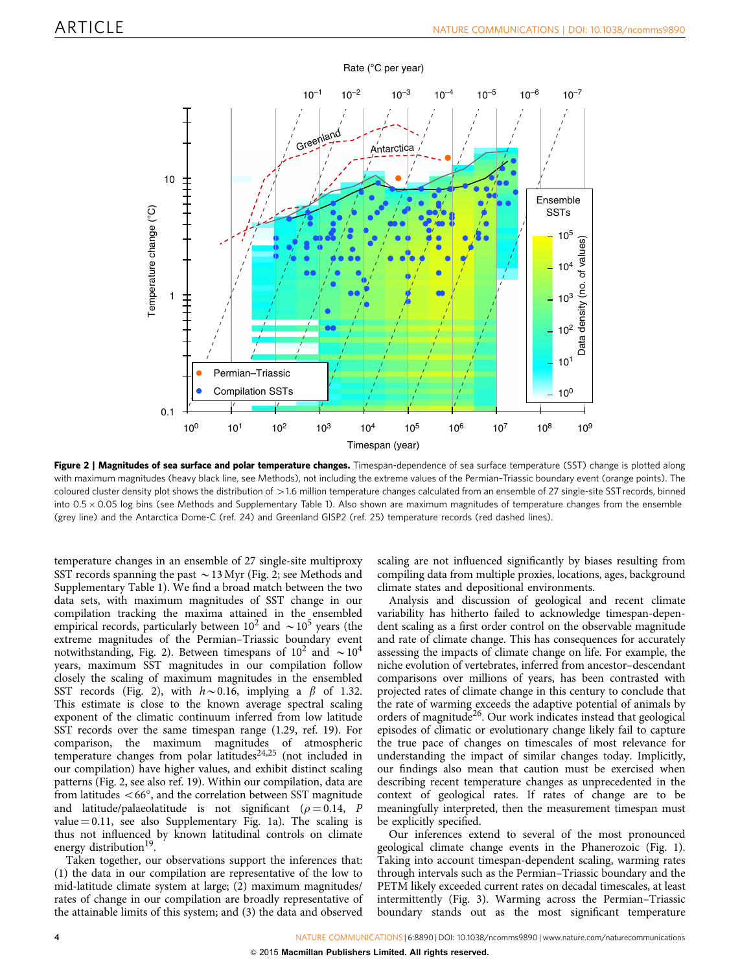<span id="page-3-0"></span>

Figure 2 | Magnitudes of sea surface and polar temperature changes. Timespan-dependence of sea surface temperature (SST) change is plotted along with maximum magnitudes (heavy black line, see Methods), not including the extreme values of the Permian–Triassic boundary event (orange points). The coloured cluster density plot shows the distribution of >1.6 million temperature changes calculated from an ensemble of 27 single-site SST records, binned into 0.5 - 0.05 log bins (see Methods and Supplementary Table 1). Also shown are maximum magnitudes of temperature changes from the ensemble (grey line) and the Antarctica Dome-C ([ref. 24\)](#page-5-0) and Greenland GISP2 ([ref. 25](#page-5-0)) temperature records (red dashed lines).

temperature changes in an ensemble of 27 single-site multiproxy SST records spanning the past  $\sim$  13 Myr (Fig. 2; see Methods and Supplementary Table 1). We find a broad match between the two data sets, with maximum magnitudes of SST change in our compilation tracking the maxima attained in the ensembled empirical records, particularly between  $10^2$  and  $\sim$  10<sup>5</sup> years (the extreme magnitudes of the Permian–Triassic boundary event notwithstanding, Fig. 2). Between timespans of  $10^2$  and  $\sim 10^4$ years, maximum SST magnitudes in our compilation follow closely the scaling of maximum magnitudes in the ensembled SST records (Fig. 2), with  $h \sim 0.16$ , implying a  $\beta$  of 1.32. This estimate is close to the known average spectral scaling exponent of the climatic continuum inferred from low latitude SST records over the same timespan range (1.29, [ref. 19](#page-5-0)). For comparison, the maximum magnitudes of atmospheric temperature changes from polar latitudes $24,25$  (not included in our compilation) have higher values, and exhibit distinct scaling patterns (Fig. 2, see also [ref. 19](#page-5-0)). Within our compilation, data are from latitudes  ${<}66^{\circ}$ , and the correlation between SST magnitude and latitude/palaeolatitude is not significant ( $\rho = 0.14$ , P value  $= 0.11$ , see also Supplementary Fig. 1a). The scaling is thus not influenced by known latitudinal controls on climate energy distribution<sup>19</sup>.

Taken together, our observations support the inferences that: (1) the data in our compilation are representative of the low to mid-latitude climate system at large; (2) maximum magnitudes/ rates of change in our compilation are broadly representative of the attainable limits of this system; and (3) the data and observed

scaling are not influenced significantly by biases resulting from compiling data from multiple proxies, locations, ages, background climate states and depositional environments.

Analysis and discussion of geological and recent climate variability has hitherto failed to acknowledge timespan-dependent scaling as a first order control on the observable magnitude and rate of climate change. This has consequences for accurately assessing the impacts of climate change on life. For example, the niche evolution of vertebrates, inferred from ancestor–descendant comparisons over millions of years, has been contrasted with projected rates of climate change in this century to conclude that the rate of warming exceeds the adaptive potential of animals by orders of magnitude[26.](#page-5-0) Our work indicates instead that geological episodes of climatic or evolutionary change likely fail to capture the true pace of changes on timescales of most relevance for understanding the impact of similar changes today. Implicitly, our findings also mean that caution must be exercised when describing recent temperature changes as unprecedented in the context of geological rates. If rates of change are to be meaningfully interpreted, then the measurement timespan must be explicitly specified.

Our inferences extend to several of the most pronounced geological climate change events in the Phanerozoic [\(Fig. 1](#page-2-0)). Taking into account timespan-dependent scaling, warming rates through intervals such as the Permian–Triassic boundary and the PETM likely exceeded current rates on decadal timescales, at least intermittently [\(Fig. 3](#page-4-0)). Warming across the Permian–Triassic boundary stands out as the most significant temperature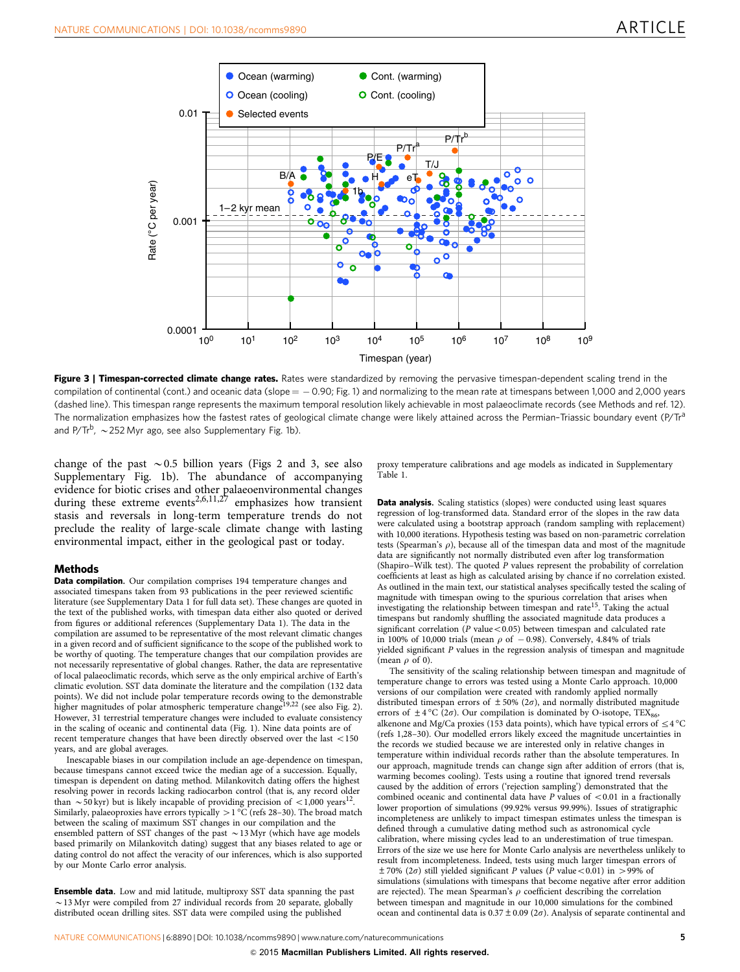<span id="page-4-0"></span>

Figure 3 | Timespan-corrected climate change rates. Rates were standardized by removing the pervasive timespan-dependent scaling trend in the compilation of continental (cont.) and oceanic data (slope  $=$  -0.90; [Fig. 1\)](#page-2-0) and normalizing to the mean rate at timespans between 1,000 and 2,000 years (dashed line). This timespan range represents the maximum temporal resolution likely achievable in most palaeoclimate records (see Methods and [ref. 12\)](#page-5-0). The normalization emphasizes how the fastest rates of geological climate change were likely attained across the Permian-Triassic boundary event (P/Tr<sup>a</sup> and P/Tr<sup>b</sup>,  $\sim$  252 Myr ago, see also Supplementary Fig. 1b).

change of the past  $\sim$  0.5 billion years [\(Figs 2 and 3,](#page-3-0) see also Supplementary Fig. 1b). The abundance of accompanying evidence for biotic crises and other palaeoenvironmental changes during these extreme events<sup>[2,6,11,27](#page-5-0)</sup> emphasizes how transient stasis and reversals in long-term temperature trends do not preclude the reality of large-scale climate change with lasting environmental impact, either in the geological past or today.

### Methods

Data compilation. Our compilation comprises 194 temperature changes and associated timespans taken from 93 publications in the peer reviewed scientific literature (see Supplementary Data 1 for full data set). These changes are quoted in the text of the published works, with timespan data either also quoted or derived from figures or additional references (Supplementary Data 1). The data in the compilation are assumed to be representative of the most relevant climatic changes in a given record and of sufficient significance to the scope of the published work to be worthy of quoting. The temperature changes that our compilation provides are not necessarily representative of global changes. Rather, the data are representative of local palaeoclimatic records, which serve as the only empirical archive of Earth's climatic evolution. SST data dominate the literature and the compilation (132 data points). We did not include polar temperature records owing to the demonstrable higher magnitudes of polar atmospheric temperature change<sup>[19,22](#page-5-0)</sup> (see also [Fig. 2](#page-3-0)). However, 31 terrestrial temperature changes were included to evaluate consistency in the scaling of oceanic and continental data ([Fig. 1\)](#page-2-0). Nine data points are of recent temperature changes that have been directly observed over the last  $<$  150 years, and are global averages.

Inescapable biases in our compilation include an age-dependence on timespan, because timespans cannot exceed twice the median age of a succession. Equally, timespan is dependent on dating method. Milankovitch dating offers the highest resolving power in records lacking radiocarbon control (that is, any record older than  $\sim$  50 kyr) but is likely incapable of providing precision of  $<$  1,000 years<sup>[12](#page-5-0)</sup>. Similarly, palaeoproxies have errors typically  $>$  1 °C [\(refs 28–30](#page-5-0)). The broad match between the scaling of maximum SST changes in our compilation and the ensembled pattern of SST changes of the past  $\sim$  13 Myr (which have age models based primarily on Milankovitch dating) suggest that any biases related to age or dating control do not affect the veracity of our inferences, which is also supported by our Monte Carlo error analysis.

Ensemble data. Low and mid latitude, multiproxy SST data spanning the past  $\sim$  13 Myr were compiled from 27 individual records from 20 separate, globally distributed ocean drilling sites. SST data were compiled using the published

proxy temperature calibrations and age models as indicated in Supplementary Table 1.

Data analysis. Scaling statistics (slopes) were conducted using least squares regression of log-transformed data. Standard error of the slopes in the raw data were calculated using a bootstrap approach (random sampling with replacement) with 10,000 iterations. Hypothesis testing was based on non-parametric correlation tests (Spearman's  $\rho$ ), because all of the timespan data and most of the magnitude data are significantly not normally distributed even after log transformation (Shapiro–Wilk test). The quoted  $P$  values represent the probability of correlation coefficients at least as high as calculated arising by chance if no correlation existed. As outlined in the main text, our statistical analyses specifically tested the scaling of magnitude with timespan owing to the spurious correlation that arises when investigating the relationship between timespan and rate[15](#page-5-0). Taking the actual timespans but randomly shuffling the associated magnitude data produces a significant correlation ( $P$  value < 0.05) between timespan and calculated rate in 100% of 10,000 trials (mean  $\rho$  of  $-0.98$ ). Conversely, 4.84% of trials yielded significant P values in the regression analysis of timespan and magnitude (mean  $\rho$  of 0).

The sensitivity of the scaling relationship between timespan and magnitude of temperature change to errors was tested using a Monte Carlo approach. 10,000 versions of our compilation were created with randomly applied normally distributed timespan errors of  $\pm 50\%$  (2 $\sigma$ ), and normally distributed magnitude errors of  $\pm 4$  °C (2 $\sigma$ ). Our compilation is dominated by O-isotope, TEX<sub>86</sub>, alkenone and Mg/Ca proxies (153 data points), which have typical errors of  $\leq$  4 °C [\(refs 1,28–30\)](#page-5-0). Our modelled errors likely exceed the magnitude uncertainties in the records we studied because we are interested only in relative changes in temperature within individual records rather than the absolute temperatures. In our approach, magnitude trends can change sign after addition of errors (that is, warming becomes cooling). Tests using a routine that ignored trend reversals caused by the addition of errors ('rejection sampling') demonstrated that the combined oceanic and continental data have  $\overline{P}$  values of  $\lt$  0.01 in a fractionally lower proportion of simulations (99.92% versus 99.99%). Issues of stratigraphic incompleteness are unlikely to impact timespan estimates unless the timespan is defined through a cumulative dating method such as astronomical cycle calibration, where missing cycles lead to an underestimation of true timespan. Errors of the size we use here for Monte Carlo analysis are nevertheless unlikely to result from incompleteness. Indeed, tests using much larger timespan errors of  $\pm$  70% (2 $\sigma$ ) still yielded significant P values (P value < 0.01) in >99% of simulations (simulations with timespans that become negative after error addition are rejected). The mean Spearman's  $\rho$  coefficient describing the correlation between timespan and magnitude in our 10,000 simulations for the combined ocean and continental data is  $0.37 \pm 0.09$  (2 $\sigma$ ). Analysis of separate continental and